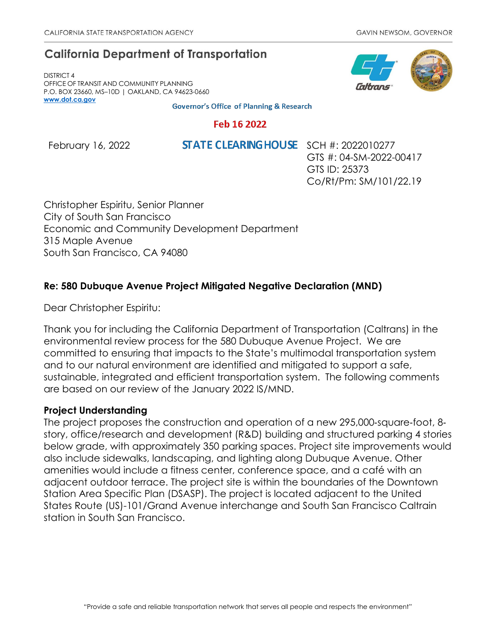# **California Department of Transportation**

DISTRICT 4 OFFICE OF TRANSIT AND COMMUNITY PLANNING P.O. BOX 23660, MS–10D | OAKLAND, CA 94623-0660 **[www.dot.ca.gov](http://www.dot.ca.gov/)**

**Governor's Office of Planning & Research** 

## Feb 16 2022

February 16, 2022 **STATE CLEARING HOUSE** SCH #: 2022010277

GTS #: 04-SM-2022-00417 GTS ID: 25373 Co/Rt/Pm: SM/101/22.19

Christopher Espiritu, Senior Planner City of South San Francisco Economic and Community Development Department 315 Maple Avenue South San Francisco, CA 94080

# **Re: 580 Dubuque Avenue Project Mitigated Negative Declaration (MND)**

Dear Christopher Espiritu:

Thank you for including the California Department of Transportation (Caltrans) in the environmental review process for the 580 Dubuque Avenue Project. We are committed to ensuring that impacts to the State's multimodal transportation system and to our natural environment are identified and mitigated to support a safe, sustainable, integrated and efficient transportation system. The following comments are based on our review of the January 2022 IS/MND.

# **Project Understanding**

The project proposes the construction and operation of a new 295,000‐square‐foot, 8‐ story, office/research and development (R&D) building and structured parking 4 stories below grade, with approximately 350 parking spaces. Project site improvements would also include sidewalks, landscaping, and lighting along Dubuque Avenue. Other amenities would include a fitness center, conference space, and a café with an adjacent outdoor terrace. The project site is within the boundaries of the Downtown Station Area Specific Plan (DSASP). The project is located adjacent to the United States Route (US)-101/Grand Avenue interchange and South San Francisco Caltrain station in South San Francisco.

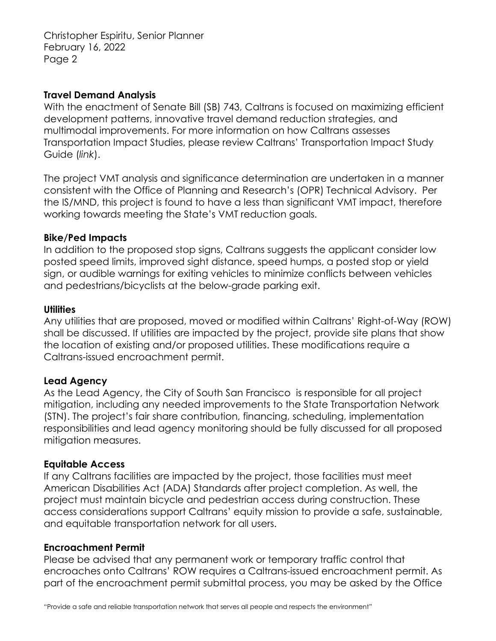Christopher Espiritu, Senior Planner February 16, 2022 Page 2

### **Travel Demand Analysis**

With the enactment of Senate Bill (SB) 743, Caltrans is focused on maximizing efficient development patterns, innovative travel demand reduction strategies, and multimodal improvements. For more information on how Caltrans assesses Transportation Impact Studies, please review Caltrans' [Transportation Impact Study](https://dot.ca.gov/-/media/dot-media/programs/transportation-planning/documents/sb-743/2020-05-20-approved-vmt-focused-tisg-a11y.pdf)  [Guide \(](https://dot.ca.gov/-/media/dot-media/programs/transportation-planning/documents/sb-743/2020-05-20-approved-vmt-focused-tisg-a11y.pdf)*[link](https://dot.ca.gov/-/media/dot-media/programs/transportation-planning/documents/sb-743/2020-05-20-approved-vmt-focused-tisg-a11y.pdf)*[\).](https://dot.ca.gov/-/media/dot-media/programs/transportation-planning/documents/sb-743/2020-05-20-approved-vmt-focused-tisg-a11y.pdf)

The project VMT analysis and significance determination are undertaken in a manner consistent with the Office of Planning and Research's (OPR) Technical Advisory. Per the IS/MND, this project is found to have a less than significant VMT impact, therefore working towards meeting the State's VMT reduction goals.

#### **Bike/Ped Impacts**

In addition to the proposed stop signs, Caltrans suggests the applicant consider low posted speed limits, improved sight distance, speed humps, a posted stop or yield sign, or audible warnings for exiting vehicles to minimize conflicts between vehicles and pedestrians/bicyclists at the below-grade parking exit.

#### **Utilities**

Any utilities that are proposed, moved or modified within Caltrans' Right-of-Way (ROW) shall be discussed. If utilities are impacted by the project, provide site plans that show the location of existing and/or proposed utilities. These modifications require a Caltrans-issued encroachment permit.

### **Lead Agency**

As the Lead Agency, the City of South San Francisco is responsible for all project mitigation, including any needed improvements to the State Transportation Network (STN). The project's fair share contribution, financing, scheduling, implementation responsibilities and lead agency monitoring should be fully discussed for all proposed mitigation measures.

#### **Equitable Access**

If any Caltrans facilities are impacted by the project, those facilities must meet American Disabilities Act (ADA) Standards after project completion. As well, the project must maintain bicycle and pedestrian access during construction. These access considerations support Caltrans' equity mission to provide a safe, sustainable, and equitable transportation network for all users.

#### **Encroachment Permit**

Please be advised that any permanent work or temporary traffic control that encroaches onto Caltrans' ROW requires a Caltrans-issued encroachment permit. As part of the encroachment permit submittal process, you may be asked by the Office